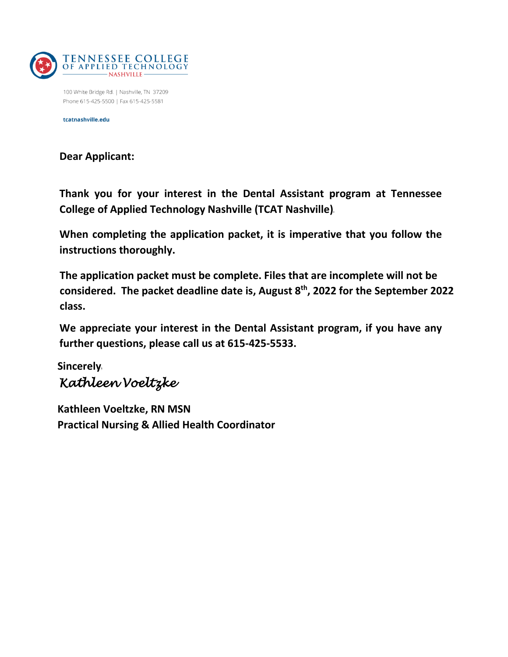

100 White Bridge Rd. | Nashville, TN 37209 Phone 615-425-5500 | Fax 615-425-5581

tcatnashville.edu

**Dear Applicant:**

**Thank you for your interest in the Dental Assistant program at Tennessee College of Applied Technology Nashville (TCAT Nashville)**

**When completing the application packet, it is imperative that you follow the instructions thoroughly.** 

**The application packet must be complete. Files that are incomplete will not be considered. The packet deadline date is, August 8th , 2022 for the September 2022 class.**

**We appreciate your interest in the Dental Assistant program, if you have any further questions, please call us at 615-425-5533.**

**Sincerely** *Kathleen Voeltzke* 

**Kathleen Voeltzke, RN MSN Practical Nursing & Allied Health Coordinator**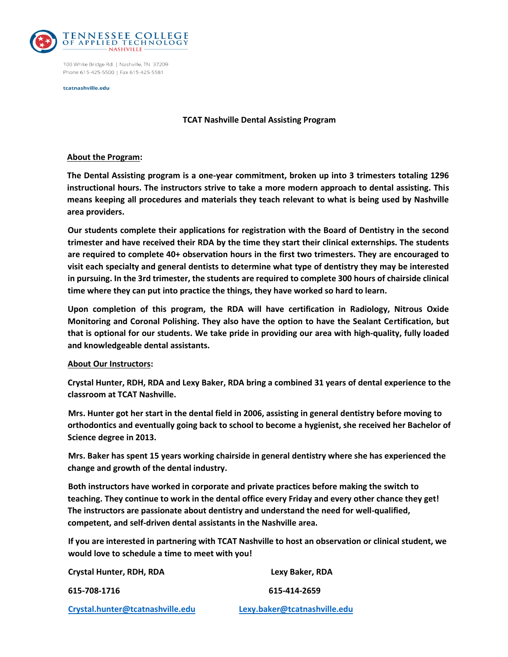

100 White Bridge Rd. | Nashville, TN 37209 Phone 615-425-5500 | Fax 615-425-5581

tcatnashville.edu

#### **TCAT Nashville Dental Assisting Program**

#### **About the Program:**

**The Dental Assisting program is a one-year commitment, broken up into 3 trimesters totaling 1296 instructional hours. The instructors strive to take a more modern approach to dental assisting. This means keeping all procedures and materials they teach relevant to what is being used by Nashville area providers.** 

**Our students complete their applications for registration with the Board of Dentistry in the second trimester and have received their RDA by the time they start their clinical externships. The students are required to complete 40+ observation hours in the first two trimesters. They are encouraged to visit each specialty and general dentists to determine what type of dentistry they may be interested in pursuing. In the 3rd trimester, the students are required to complete 300 hours of chairside clinical time where they can put into practice the things, they have worked so hard to learn.** 

**Upon completion of this program, the RDA will have certification in Radiology, Nitrous Oxide Monitoring and Coronal Polishing. They also have the option to have the Sealant Certification, but that is optional for our students. We take pride in providing our area with high-quality, fully loaded and knowledgeable dental assistants.**

#### **About Our Instructors:**

**Crystal Hunter, RDH, RDA and Lexy Baker, RDA bring a combined 31 years of dental experience to the classroom at TCAT Nashville.** 

**Mrs. Hunter got her start in the dental field in 2006, assisting in general dentistry before moving to orthodontics and eventually going back to school to become a hygienist, she received her Bachelor of Science degree in 2013.** 

**Mrs. Baker has spent 15 years working chairside in general dentistry where she has experienced the change and growth of the dental industry.** 

**Both instructors have worked in corporate and private practices before making the switch to teaching. They continue to work in the dental office every Friday and every other chance they get! The instructors are passionate about dentistry and understand the need for well-qualified, competent, and self-driven dental assistants in the Nashville area.**

**If you are interested in partnering with TCAT Nashville to host an observation or clinical student, we would love to schedule a time to meet with you!**

| Crystal Hunter, RDH, RDA         | Lexy Baker, RDA              |  |  |
|----------------------------------|------------------------------|--|--|
| 615-708-1716                     | 615-414-2659                 |  |  |
| Crystal.hunter@tcatnashville.edu | Lexy.baker@tcatnashville.edu |  |  |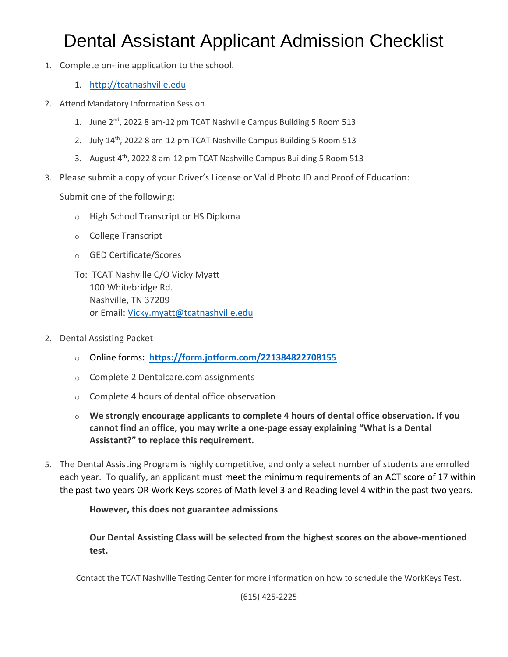# Dental Assistant Applicant Admission Checklist

- 1. Complete on-line application to the school.
	- 1. [http://tcatnashville.edu](http://tcatnashville.edu/)
- 2. Attend Mandatory Information Session
	- 1. June 2<sup>nd</sup>, 2022 8 am-12 pm TCAT Nashville Campus Building 5 Room 513
	- 2. July 14<sup>th</sup>, 2022 8 am-12 pm TCAT Nashville Campus Building 5 Room 513
	- 3. August 4<sup>th</sup>, 2022 8 am-12 pm TCAT Nashville Campus Building 5 Room 513
- 3. Please submit a copy of your Driver's License or Valid Photo ID and Proof of Education:

Submit one of the following:

- o High School Transcript or HS Diploma
- o College Transcript
- o GED Certificate/Scores
- To: TCAT Nashville C/O Vicky Myatt 100 Whitebridge Rd. Nashville, TN 37209 or Email: [Vicky.myatt@tcatnashville.edu](mailto:Vicky.myatt@tcatnashville.edu)
- 2. Dental Assisting Packet
	- o Online forms**: <https://form.jotform.com/221384822708155>**
	- o Complete 2 Dentalcare.com assignments
	- o Complete 4 hours of dental office observation
	- o **We strongly encourage applicants to complete 4 hours of dental office observation. If you cannot find an office, you may write a one-page essay explaining "What is a Dental Assistant?" to replace this requirement.**
- 5. The Dental Assisting Program is highly competitive, and only a select number of students are enrolled each year. To qualify, an applicant must meet the minimum requirements of an ACT score of 17 within the past two years OR Work Keys scores of Math level 3 and Reading level 4 within the past two years.

**However, this does not guarantee admissions**

**Our Dental Assisting Class will be selected from the highest scores on the above-mentioned test.**

Contact the TCAT Nashville Testing Center for more information on how to schedule the WorkKeys Test.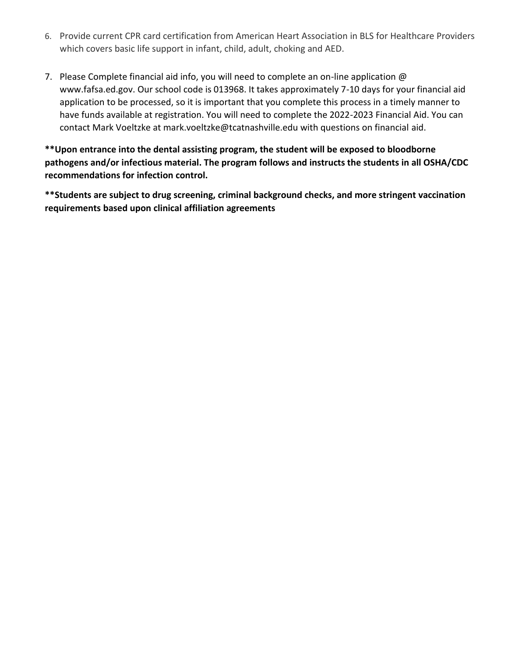- 6. Provide current CPR card certification from American Heart Association in BLS for Healthcare Providers which covers basic life support in infant, child, adult, choking and AED.
- 7. Please Complete financial aid info, you will need to complete an on-line application @ www.fafsa.ed.gov. Our school code is 013968. It takes approximately 7-10 days for your financial aid application to be processed, so it is important that you complete this process in a timely manner to have funds available at registration. You will need to complete the 2022-2023 Financial Aid. You can contact Mark Voeltzke at mark.voeltzke@tcatnashville.edu with questions on financial aid.

**\*\*Upon entrance into the dental assisting program, the student will be exposed to bloodborne pathogens and/or infectious material. The program follows and instructs the students in all OSHA/CDC recommendations for infection control.**

**\*\*Students are subject to drug screening, criminal background checks, and more stringent vaccination requirements based upon clinical affiliation agreements**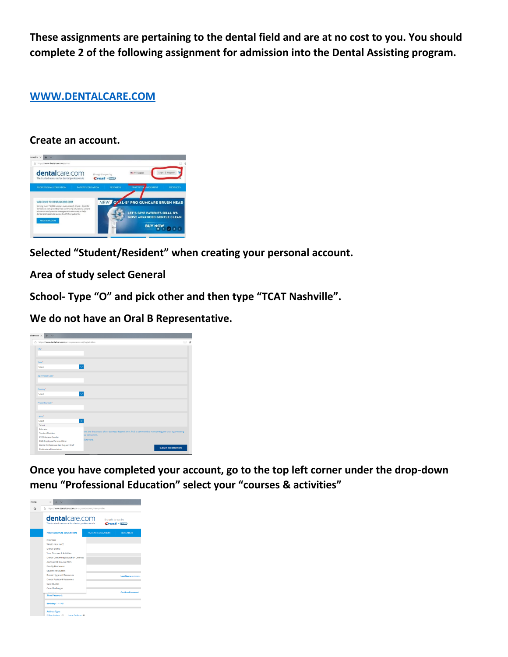**These assignments are pertaining to the dental field and are at no cost to you. You should complete 2 of the following assignment for admission into the Dental Assisting program.** 

### **[WWW.DENTALCARE.COM](http://www.dentalcare.com/)**

### **Create an account.**



**Selected "Student/Resident" when creating your personal account.** 

**Area of study select General**

**School- Type "O" and pick other and then type "TCAT Nashville".**

**We do not have an Oral B Representative.** 

| A https://www.dentalcare.com/en-us/useraccount/registration |                                                                                                                                | □ ☆ |
|-------------------------------------------------------------|--------------------------------------------------------------------------------------------------------------------------------|-----|
| City <sup>*</sup>                                           |                                                                                                                                |     |
| State <sup>*</sup>                                          |                                                                                                                                |     |
| Select                                                      |                                                                                                                                |     |
| Zip / Postal Code"                                          |                                                                                                                                |     |
| Country*                                                    |                                                                                                                                |     |
| Select                                                      |                                                                                                                                |     |
| Phone Number*                                               |                                                                                                                                |     |
| Tam at                                                      |                                                                                                                                |     |
| Select                                                      | $\overline{\times}$                                                                                                            |     |
| Select                                                      |                                                                                                                                |     |
| Educator                                                    |                                                                                                                                |     |
| Student/Resident                                            | ion, and the success of our business depends on it. P&G is committed to maintaining your trust by protecting<br>sur consumers. |     |
| K12 Educator/Leader                                         |                                                                                                                                |     |
| P&G Employee/Partner/Other                                  | icacement.                                                                                                                     |     |
| Dental Professional And Support Staff                       |                                                                                                                                |     |
| Professional Association                                    | <b>SUBMIT REGISTRATION</b>                                                                                                     |     |

**Once you have completed your account, go to the top left corner under the drop-down menu "Professional Education" select your "courses & activities"**

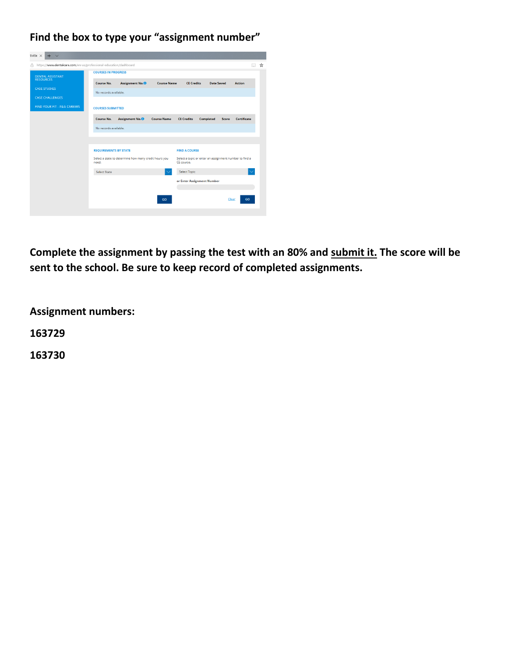### **Find the box to type your "assignment number"**

| tivitie ×<br>$+$<br>$\vee$                                             |                                                                |                             |                    |                                                                      |                   |       |                    |   |
|------------------------------------------------------------------------|----------------------------------------------------------------|-----------------------------|--------------------|----------------------------------------------------------------------|-------------------|-------|--------------------|---|
| https://www.dentalcare.com/en-us/professional-education/dashboard<br>Α |                                                                |                             |                    |                                                                      |                   |       | ш                  | ☆ |
| <b>DENTAL ASSISTANT</b>                                                | <b>COURSES IN PROGRESS</b>                                     |                             |                    |                                                                      |                   |       |                    |   |
| <b>RESOURCES</b>                                                       | Course No.                                                     | Assignment No. <sup>3</sup> | <b>Course Name</b> | <b>CE Credits</b>                                                    | <b>Date Saved</b> |       | <b>Action</b>      |   |
| <b>CASE STUDIES</b>                                                    | No records available.                                          |                             |                    |                                                                      |                   |       |                    |   |
| <b>CASE CHALLENGES</b>                                                 |                                                                |                             |                    |                                                                      |                   |       |                    |   |
| FIND YOUR FIT - P&G CAREERS                                            | <b>COURSES SUBMITTED</b>                                       |                             |                    |                                                                      |                   |       |                    |   |
|                                                                        | Course No.                                                     | Assignment No. <sup>6</sup> | <b>Course Name</b> | <b>CE Credits</b>                                                    | <b>Completed</b>  | Score | <b>Certificate</b> |   |
|                                                                        | No records available.                                          |                             |                    |                                                                      |                   |       |                    |   |
|                                                                        |                                                                |                             |                    |                                                                      |                   |       |                    |   |
|                                                                        |                                                                |                             |                    |                                                                      |                   |       |                    |   |
|                                                                        | <b>REQUIREMENTS BY STATE</b>                                   |                             |                    | <b>FIND A COURSE</b>                                                 |                   |       |                    |   |
|                                                                        | Select a state to determine how many credit hours you<br>need. |                             |                    | Select a topic or enter an assignment number to find a<br>CE course. |                   |       |                    |   |
|                                                                        | <b>Select State</b>                                            |                             |                    | <b>Select Topic</b>                                                  |                   |       |                    |   |
|                                                                        |                                                                |                             |                    | or Enter Assignment Number                                           |                   |       |                    |   |
|                                                                        |                                                                |                             |                    |                                                                      |                   |       |                    |   |
|                                                                        |                                                                |                             | GO                 |                                                                      |                   | Clear | GO                 |   |
|                                                                        |                                                                |                             |                    |                                                                      |                   |       |                    |   |

**Complete the assignment by passing the test with an 80% and submit it. The score will be sent to the school. Be sure to keep record of completed assignments.** 

**Assignment numbers:**

**163729**

**163730**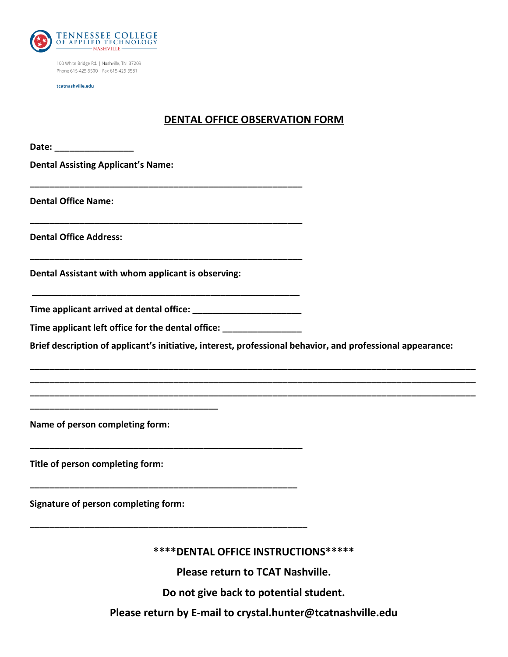

100 White Bridge Rd. | Nashville, TN 37209 Phone 615-425-5500 | Fax 615-425-5581

tcatnashville.edu

### **DENTAL OFFICE OBSERVATION FORM**

| <b>Dental Assisting Applicant's Name:</b>                                                                  |  |
|------------------------------------------------------------------------------------------------------------|--|
| <b>Dental Office Name:</b>                                                                                 |  |
| <b>Dental Office Address:</b>                                                                              |  |
| Dental Assistant with whom applicant is observing:                                                         |  |
|                                                                                                            |  |
| Time applicant left office for the dental office: ______________________________                           |  |
| Brief description of applicant's initiative, interest, professional behavior, and professional appearance: |  |
|                                                                                                            |  |
| Name of person completing form:                                                                            |  |
| Title of person completing form:                                                                           |  |
| <b>Signature of person completing form:</b>                                                                |  |
| **** DENTAL OFFICE INSTRUCTIONS*****                                                                       |  |

**Please return to TCAT Nashville.** 

**Do not give back to potential student.** 

**Please return by E-mail to crystal.hunter@tcatnashville.edu**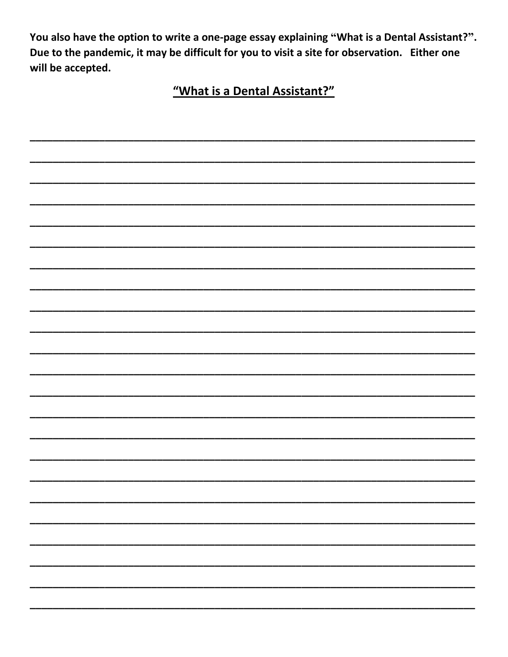You also have the option to write a one-page essay explaining "What is a Dental Assistant?". Due to the pandemic, it may be difficult for you to visit a site for observation. Either one will be accepted.

"What is a Dental Assistant?"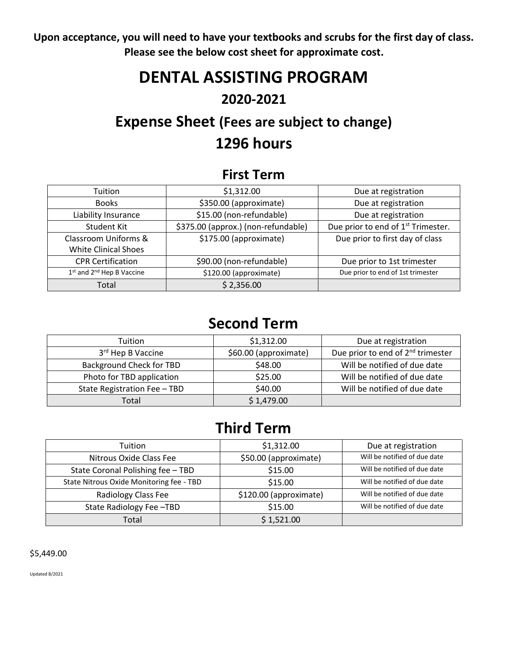**Upon acceptance, you will need to have your textbooks and scrubs for the first day of class. Please see the below cost sheet for approximate cost.**

# **DENTAL ASSISTING PROGRAM 2020-2021**

## **Expense Sheet (Fees are subject to change) 1296 hours**

## **First Term**

| Tuition                     | \$1,312.00                          | Due at registration                            |
|-----------------------------|-------------------------------------|------------------------------------------------|
| <b>Books</b>                | \$350.00 (approximate)              | Due at registration                            |
| Liability Insurance         | \$15.00 (non-refundable)            | Due at registration                            |
| Student Kit                 | \$375.00 (approx.) (non-refundable) | Due prior to end of 1 <sup>st</sup> Trimester. |
| Classroom Uniforms &        | \$175.00 (approximate)              | Due prior to first day of class                |
| <b>White Clinical Shoes</b> |                                     |                                                |
| <b>CPR Certification</b>    | \$90.00 (non-refundable)            | Due prior to 1st trimester                     |
| 1st and 2nd Hep B Vaccine   | \$120.00 (approximate)              | Due prior to end of 1st trimester              |
| Total                       | \$2,356.00                          |                                                |

## **Second Term**

| <b>Tuition</b>                  | \$1,312.00            | Due at registration                           |
|---------------------------------|-----------------------|-----------------------------------------------|
| 3rd Hep B Vaccine               | \$60.00 (approximate) | Due prior to end of 2 <sup>nd</sup> trimester |
| <b>Background Check for TBD</b> | \$48.00               | Will be notified of due date                  |
| Photo for TBD application       | \$25.00               | Will be notified of due date                  |
| State Registration Fee - TBD    | \$40.00               | Will be notified of due date                  |
| Total                           | \$1,479.00            |                                               |

## **Third Term**

| Tuition                                  | \$1,312.00             | Due at registration          |
|------------------------------------------|------------------------|------------------------------|
| Nitrous Oxide Class Fee                  | \$50.00 (approximate)  | Will be notified of due date |
| State Coronal Polishing fee - TBD        | \$15.00                | Will be notified of due date |
| State Nitrous Oxide Monitoring fee - TBD | \$15.00                | Will be notified of due date |
| Radiology Class Fee                      | \$120.00 (approximate) | Will be notified of due date |
| State Radiology Fee-TBD                  | \$15.00                | Will be notified of due date |
| Total                                    | \$1,521.00             |                              |

### \$5,449.00

Updated 8/2021